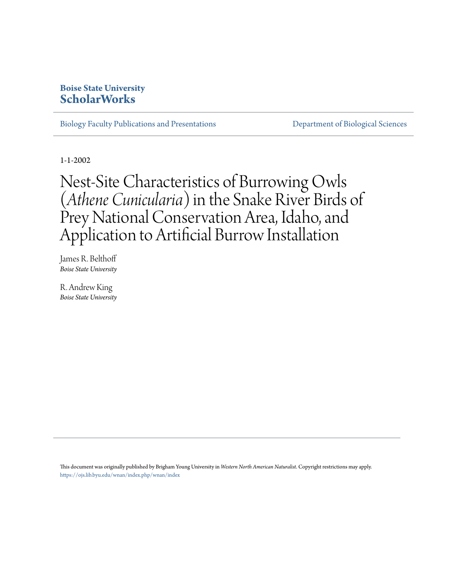# **Boise State University [ScholarWorks](https://scholarworks.boisestate.edu)**

[Biology Faculty Publications and Presentations](https://scholarworks.boisestate.edu/bio_facpubs) **[Department of Biological Sciences](https://scholarworks.boisestate.edu/biosciences)** 

1-1-2002

# Nest-Site Characteristics of Burrowing Owls (*Athene Cunicularia*) in the Snake River Birds of Prey National Conservation Area, Idaho, and Application to Artificial Burrow Installation

James R. Belthoff *Boise State University*

R. Andrew King *Boise State University*

This document was originally published by Brigham Young University in *Western North American Naturalist*. Copyright restrictions may apply. <https://ojs.lib.byu.edu/wnan/index.php/wnan/index>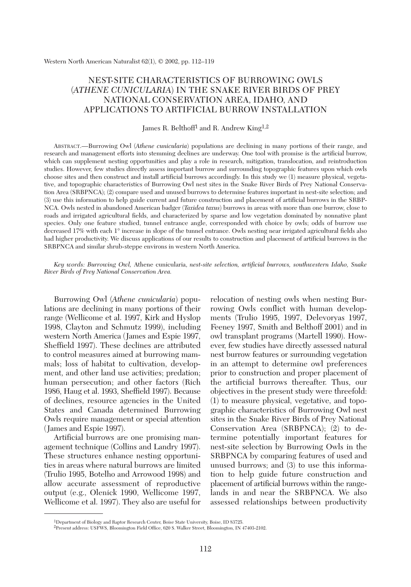Western North American Naturalist 62(1), © 2002, pp. 112–119

# NEST-SITE CHARACTERISTICS OF BURROWING OWLS (*ATHENE CUNICULARIA*) IN THE SNAKE RIVER BIRDS OF PREY NATIONAL CONSERVATION AREA, IDAHO, AND APPLICATIONS TO ARTIFICIAL BURROW INSTALLATION

James R. Belthoff<sup>1</sup> and R. Andrew King<sup>1,2</sup>

ABSTRACT.—Burrowing Owl (*Athene cunicularia*) populations are declining in many portions of their range, and research and management efforts into stemming declines are underway. One tool with promise is the artificial burrow, which can supplement nesting opportunities and play a role in research, mitigation, translocation, and reintroduction studies. However, few studies directly assess important burrow and surrounding topographic features upon which owls choose sites and then construct and install artificial burrows accordingly. In this study we (1) measure physical, vegetative, and topographic characteristics of Burrowing Owl nest sites in the Snake River Birds of Prey National Conservation Area (SRBPNCA); (2) compare used and unused burrows to determine features important in nest-site selection; and (3) use this information to help guide current and future construction and placement of artificial burrows in the SRBP-NCA. Owls nested in abandoned American badger (*Taxidea taxus*) burrows in areas with more than one burrow, close to roads and irrigated agricultural fields, and characterized by sparse and low vegetation dominated by nonnative plant species. Only one feature studied, tunnel entrance angle, corresponded with choice by owls; odds of burrow use decreased 17% with each 1° increase in slope of the tunnel entrance. Owls nesting near irrigated agricultural fields also had higher productivity. We discuss applications of our results to construction and placement of artificial burrows in the SRBPNCA and similar shrub-steppe environs in western North America.

*Key words: Burrowing Owl,* Athene cunicularia, *nest-site selection, artificial burrows, southwestern Idaho, Snake River Birds of Prey National Conservation Area.*

Burrowing Owl (*Athene cunicularia*) populations are declining in many portions of their range (Wellicome et al. 1997, Kirk and Hyslop 1998, Clayton and Schmutz 1999), including western North America (James and Espie 1997, Sheffield 1997). These declines are attributed to control measures aimed at burrowing mammals; loss of habitat to cultivation, development, and other land use activities; predation; human persecution; and other factors (Rich 1986, Haug et al. 1993, Sheffield 1997). Because of declines, resource agencies in the United States and Canada determined Burrowing Owls require management or special attention (James and Espie 1997).

Artificial burrows are one promising management technique (Collins and Landry 1997). These structures enhance nesting opportunities in areas where natural burrows are limited (Trulio 1995, Botelho and Arrowood 1998) and allow accurate assessment of reproductive output (e.g., Olenick 1990, Wellicome 1997, Wellicome et al. 1997). They also are useful for relocation of nesting owls when nesting Burrowing Owls conflict with human developments (Trulio 1995, 1997, Delevoryas 1997, Feeney 1997, Smith and Belthoff 2001) and in owl transplant programs (Martell 1990). However, few studies have directly assessed natural nest burrow features or surrounding vegetation in an attempt to determine owl preferences prior to construction and proper placement of the artificial burrows thereafter. Thus, our objectives in the present study were threefold: (1) to measure physical, vegetative, and topographic characteristics of Burrowing Owl nest sites in the Snake River Birds of Prey National Conservation Area (SRBPNCA); (2) to determine potentially important features for nest-site selection by Burrowing Owls in the SRBPNCA by comparing features of used and unused burrows; and (3) to use this information to help guide future construction and placement of artificial burrows within the rangelands in and near the SRBPNCA. We also assessed relationships between productivity

<sup>1</sup>Department of Biology and Raptor Research Center, Boise State University, Boise, ID 83725.

<sup>2</sup>Present address: USFWS, Bloomington Field Office, 620 S. Walker Street, Bloomington, IN 47403-2102.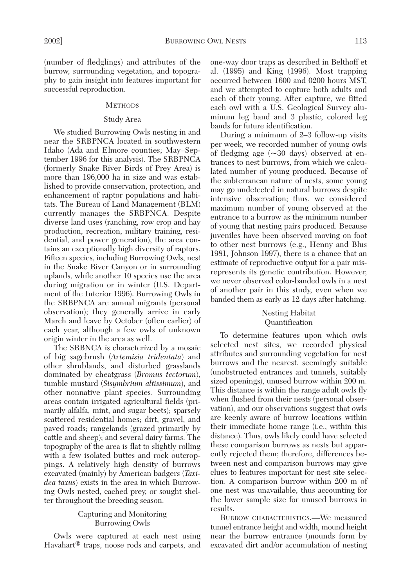(number of fledglings) and attributes of the burrow, surrounding vegetation, and topography to gain insight into features important for successful reproduction.

### **METHODS**

# Study Area

We studied Burrowing Owls nesting in and near the SRBPNCA located in southwestern Idaho (Ada and Elmore counties; May–September 1996 for this analysis). The SRBPNCA (formerly Snake River Birds of Prey Area) is more than 196,000 ha in size and was established to provide conservation, protection, and enhancement of raptor populations and habitats. The Bureau of Land Management (BLM) currently manages the SRBPNCA. Despite diverse land uses (ranching, row crop and hay production, recreation, military training, residential, and power generation), the area contains an exceptionally high diversity of raptors. Fifteen species, including Burrowing Owls, nest in the Snake River Canyon or in surrounding uplands, while another 10 species use the area during migration or in winter (U.S. Department of the Interior 1996). Burrowing Owls in the SRBPNCA are annual migrants (personal observation); they generally arrive in early March and leave by October (often earlier) of each year, although a few owls of unknown origin winter in the area as well.

The SRBNCA is characterized by a mosaic of big sagebrush (*Artemisia tridentata*) and other shrublands, and disturbed grasslands dominated by cheatgrass (*Bromus tectorum*), tumble mustard (*Sisymbrium altissimum*), and other nonnative plant species. Surrounding areas contain irrigated agricultural fields (primarily alfalfa, mint, and sugar beets); sparsely scattered residential homes; dirt, gravel, and paved roads; rangelands (grazed primarily by cattle and sheep); and several dairy farms. The topography of the area is flat to slightly rolling with a few isolated buttes and rock outcroppings. A relatively high density of burrows excavated (mainly) by American badgers (*Taxidea taxus*) exists in the area in which Burrowing Owls nested, cached prey, or sought shelter throughout the breeding season.

# Capturing and Monitoring Burrowing Owls

Owls were captured at each nest using Havahart® traps, noose rods and carpets, and one-way door traps as described in Belthoff et al. (1995) and King (1996). Most trapping occurred between 1600 and 0200 hours MST, and we attempted to capture both adults and each of their young. After capture, we fitted each owl with a U.S. Geological Survey aluminum leg band and 3 plastic, colored leg bands for future identification.

During a minimum of 2–3 follow-up visits per week, we recorded number of young owls of fledging age  $(\sim 30 \text{ days})$  observed at entrances to nest burrows, from which we calculated number of young produced. Because of the subterranean nature of nests, some young may go undetected in natural burrows despite intensive observation; thus, we considered maximum number of young observed at the entrance to a burrow as the minimum number of young that nesting pairs produced. Because juveniles have been observed moving on foot to other nest burrows (e.g., Henny and Blus 1981, Johnson 1997), there is a chance that an estimate of reproductive output for a pair misrepresents its genetic contribution. However, we never observed color-banded owls in a nest of another pair in this study, even when we banded them as early as 12 days after hatching.

## Nesting Habitat Quantification

To determine features upon which owls selected nest sites, we recorded physical attributes and surrounding vegetation for nest burrows and the nearest, seemingly suitable (unobstructed entrances and tunnels, suitably sized openings), unused burrow within 200 m. This distance is within the range adult owls fly when flushed from their nests (personal observation), and our observations suggest that owls are keenly aware of burrow locations within their immediate home range (i.e., within this distance). Thus, owls likely could have selected these comparison burrows as nests but apparently rejected them; therefore, differences between nest and comparison burrows may give clues to features important for nest site selection. A comparison burrow within 200 m of one nest was unavailable, thus accounting for the lower sample size for unused burrows in results.

BURROW CHARACTERISTICS.—We measured tunnel entrance height and width, mound height near the burrow entrance (mounds form by excavated dirt and/or accumulation of nesting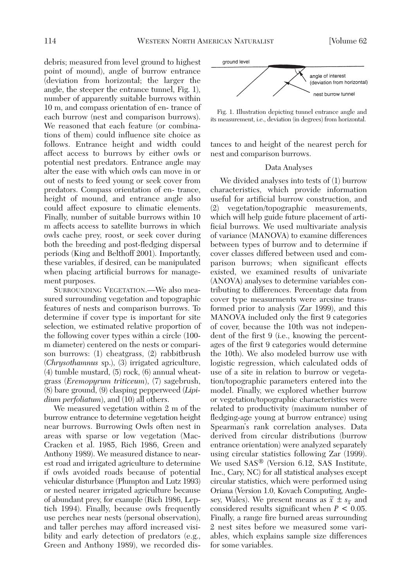debris; measured from level ground to highest point of mound), angle of burrow entrance (deviation from horizontal; the larger the angle, the steeper the entrance tunnel, Fig. 1), number of apparently suitable burrows within 10 m, and compass orientation of en- trance of each burrow (nest and comparison burrows). We reasoned that each feature (or combinations of them) could influence site choice as follows. Entrance height and width could affect access to burrows by either owls or potential nest predators. Entrance angle may alter the ease with which owls can move in or out of nests to feed young or seek cover from predators. Compass orientation of en- trance, height of mound, and entrance angle also could affect exposure to climatic elements. Finally, number of suitable burrows within 10 m affects access to satellite burrows in which owls cache prey, roost, or seek cover during both the breeding and post-fledging dispersal periods (King and Belthoff 2001). Importantly, these variables, if desired, can be manipulated when placing artificial burrows for management purposes.

SURROUNDING VEGETATION.—We also measured surrounding vegetation and topographic features of nests and comparison burrows. To determine if cover type is important for site selection, we estimated relative proportion of the following cover types within a circle (100 m diameter) centered on the nests or comparison burrows: (1) cheatgrass, (2) rabbitbrush (*Chrysothamnus* sp.), (3) irrigated agriculture, (4) tumble mustard, (5) rock, (6) annual wheatgrass (*Eremopyrum triticeum*), (7) sagebrush, (8) bare ground, (9) clasping pepperweed (*Lipidium perfoliatum*), and (10) all others.

We measured vegetation within 2 m of the burrow entrance to determine vegetation height near burrows. Burrowing Owls often nest in areas with sparse or low vegetation (Mac-Cracken et al. 1985, Rich 1986, Green and Anthony 1989). We measured distance to nearest road and irrigated agriculture to determine if owls avoided roads because of potential vehicular disturbance (Plumpton and Lutz 1993) or nested nearer irrigated agriculture because of abundant prey, for example (Rich 1986, Leptich 1994). Finally, because owls frequently use perches near nests (personal observation), and taller perches may afford increased visibility and early detection of predators (e.g., Green and Anthony 1989), we recorded dis-





tances to and height of the nearest perch for nest and comparison burrows.

#### Data Analyses

We divided analyses into tests of (1) burrow characteristics, which provide information useful for artificial burrow construction, and (2) vegetation/topographic measurements, which will help guide future placement of artificial burrows. We used multivariate analysis of variance (MANOVA) to examine differences between types of burrow and to determine if cover classes differed between used and comparison burrows; when significant effects existed, we examined results of univariate (ANOVA) analyses to determine variables contributing to differences. Percentage data from cover type measurments were arcsine transformed prior to analysis (Zar 1999), and this MANOVA included only the first 9 categories of cover, because the 10th was not independent of the first 9 (i.e., knowing the percentages of the first 9 categories would determine the 10th). We also modeled burrow use with logistic regression, which calculated odds of use of a site in relation to burrow or vegetation/topographic parameters entered into the model. Finally, we explored whether burrow or vegetation/topographic characteristics were related to productivity (maximum number of fledging-age young at burrow entrance) using Spearman's rank correlation analyses. Data derived from circular distributions (burrow entrance orientation) were analyzed separately using circular statistics following Zar (1999). We used SAS® (Version 6.12, SAS Institute, Inc., Cary, NC) for all statistical analyses except circular statistics, which were performed using Oriana (Version 1.0, Kovach Computing, Anglesey, Wales). We present means as  $\bar{x} \pm s_{\bar{x}}$  and considered results significant when *P* < 0.05. Finally, a range fire burned areas surrounding 2 nest sites before we measured some variables, which explains sample size differences for some variables.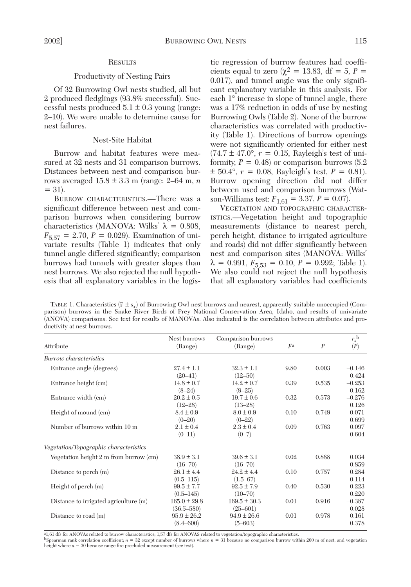## **RESULTS**

#### Productivity of Nesting Pairs

Of 32 Burrowing Owl nests studied, all but 2 produced fledglings (93.8% successful). Successful nests produced  $5.1 \pm 0.3$  young (range: 2–10). We were unable to determine cause for nest failures.

# Nest-Site Habitat

Burrow and habitat features were measured at 32 nests and 31 comparison burrows. Distances between nest and comparison burrows averaged 15.8 ± 3.3 m (range: 2–64 m, *n*  $= 31$ .

BURROW CHARACTERISTICS.—There was a significant difference between nest and comparison burrows when considering burrow characteristics (MANOVA: Wilks'  $\lambda = 0.808$ ,  $F_{5,57} = 2.70, P = 0.029$ . Examination of univariate results (Table 1) indicates that only tunnel angle differed significantly; comparison burrows had tunnels with greater slopes than nest burrows. We also rejected the null hypothesis that all explanatory variables in the logistic regression of burrow features had coefficients equal to zero ( $\chi^2 = 13.83$ , df = 5, P = 0.017), and tunnel angle was the only significant explanatory variable in this analysis. For each 1° increase in slope of tunnel angle, there was a 17% reduction in odds of use by nesting Burrowing Owls (Table 2). None of the burrow characteristics was correlated with productivity (Table 1). Directions of burrow openings were not significantly oriented for either nest  $(74.7 \pm 47.0^{\circ}, r = 0.15,$  Rayleigh's test of uniformity,  $P = 0.48$ ) or comparison burrows  $(5.2)$  $\pm$  50.4°,  $r = 0.08$ , Rayleigh's test,  $P = 0.81$ ). Burrow opening direction did not differ between used and comparison burrows (Watson-Williams test:  $F_{1,61} = 3.37, P = 0.07$ .

VEGETATION AND TOPOGRAPHIC CHARACTER-ISTICS.—Vegetation height and topographic measurements (distance to nearest perch, perch height, distance to irrigated agriculture and roads) did not differ significantly between nest and comparison sites (MANOVA: Wilks'  $\lambda = 0.991, F_{5,53} = 0.10, P = 0.992$ ; Table 1). We also could not reject the null hypothesis that all explanatory variables had coefficients

TABLE 1. Characteristics  $(\bar{x} \pm s_{\bar{x}})$  of Burrowing Owl nest burrows and nearest, apparently suitable unoccupied (Comparison) burrows in the Snake River Birds of Prey National Conservation Area, Idaho, and results of univariate (ANOVA) comparisons. See text for results of MANOVAs. Also indicated is the correlation between attributes and productivity at nest burrows.

|                                        | Nest burrows     | Comparison burrows |      |                  | $r_s^{\mathrm{~b}}$ |  |
|----------------------------------------|------------------|--------------------|------|------------------|---------------------|--|
| Attribute                              | (Range)          | (Range)            | Fa   | $\boldsymbol{P}$ | (P)                 |  |
| Burrow characteristics                 |                  |                    |      |                  |                     |  |
| Entrance angle (degrees)               | $27.4 \pm 1.1$   | $32.3 \pm 1.1$     | 9.80 | 0.003            | $-0.146$            |  |
|                                        | $(20 - 41)$      | $(12 - 50)$        |      |                  | 0.424               |  |
| Entrance height (cm)                   | $14.8 \pm 0.7$   | $14.2 \pm 0.7$     | 0.39 | 0.535            | $-0.253$            |  |
|                                        | $(8-24)$         | $(9 - 25)$         |      |                  | 0.162               |  |
| Entrance width (cm)                    | $20.2 \pm 0.5$   | $19.7 \pm 0.6$     | 0.32 | 0.573            | $-0.276$            |  |
|                                        | $(12 - 28)$      | $(13 - 28)$        |      |                  | 0.126               |  |
| Height of mound (cm)                   | $8.4 \pm 0.9$    | $8.0 \pm 0.9$      | 0.10 | 0.749            | $-0.071$            |  |
|                                        | $(0 - 20)$       | $(0 - 22)$         |      |                  | 0.699               |  |
| Number of burrows within 10 m          | $2.1 \pm 0.4$    | $2.3 \pm 0.4$      | 0.09 | 0.763            | 0.097               |  |
|                                        | $(0-11)$         | $(0 - 7)$          |      |                  | 0.604               |  |
| Vegetation/Topographic characteristics |                  |                    |      |                  |                     |  |
| Vegetation height 2 m from burrow (cm) | $38.9 \pm 3.1$   | $39.6 \pm 3.1$     | 0.02 | 0.888            | 0.034               |  |
|                                        | $(16 - 70)$      | $(16 - 70)$        |      |                  | 0.859               |  |
| Distance to perch $(m)$                | $26.1 \pm 4.4$   | $24.2 \pm 4.4$     | 0.10 | 0.757            | 0.284               |  |
|                                        | $(0.5 - 115)$    | $(1.5 - 67)$       |      |                  | 0.114               |  |
| Height of perch $(m)$                  | $99.5 \pm 7.7$   | $92.5 \pm 7.9$     | 0.40 | 0.530            | 0.223               |  |
|                                        | $(0.5 - 145)$    | $(10 - 70)$        |      |                  | 0.220               |  |
| Distance to irrigated agriculture (m)  | $165.0 \pm 29.8$ | $169.5 \pm 30.3$   | 0.01 | 0.916            | $-0.387$            |  |
|                                        | $(36.5 - 580)$   | $(25 - 601)$       |      |                  | 0.028               |  |
| Distance to road $(m)$                 | $95.9 \pm 26.2$  | $94.9 \pm 26.6$    | 0.01 | 0.978            | 0.161               |  |
|                                        | $(8.4 - 600)$    | $(5 - 603)$        |      |                  | 0.378               |  |
|                                        |                  |                    |      |                  |                     |  |

a1,61 dfs for ANOVAs related to burrow characteristics; 1,57 dfs for ANOVAS related to vegetation/topographic characteristics.

 $b$ Spearman rank correlation coefficient;  $n = 32$  except number of burrows where  $n = 31$  because no comparison burrow within 200 m of nest, and vegetation height where  $n = 30$  because range fire precluded measurement (see text).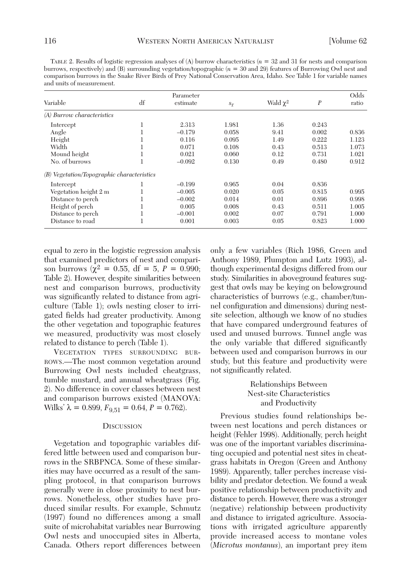TABLE 2. Results of logistic regression analyses of (A) burrow characteristics (*n* = 32 and 31 for nests and comparison burrows, respectively) and (B) surrounding vegetation/topographic (*n* = 30 and 29) features of Burrowing Owl nest and comparison burrows in the Snake River Birds of Prey National Conservation Area, Idaho. See Table 1 for variable names and units of measurement.

| Variable                                   | df | Parameter<br>estimate | $s_{\overline{x}}$ | Wald $\chi^2$ | $\boldsymbol{P}$ | Odds<br>ratio |
|--------------------------------------------|----|-----------------------|--------------------|---------------|------------------|---------------|
| (A) Burrow characteristics                 |    |                       |                    |               |                  |               |
| Intercept                                  | T  | 2.313                 | 1.981              | 1.36          | 0.243            |               |
| Angle                                      |    | $-0.179$              | 0.058              | 9.41          | 0.002            | 0.836         |
| Height                                     |    | 0.116                 | 0.095              | 1.49          | 0.222            | 1.123         |
| Width                                      |    | 0.071                 | 0.108              | 0.43          | 0.513            | 1.073         |
| Mound height                               | T  | 0.021                 | 0.060              | 0.12          | 0.731            | 1.021         |
| No. of burrows                             |    | $-0.092$              | 0.130              | 0.49          | 0.480            | 0.912         |
| (B) Vegetation/Topographic characteristics |    |                       |                    |               |                  |               |
| Intercept                                  |    | $-0.199$              | 0.965              | 0.04          | 0.836            |               |
| Vegetation height 2 m                      |    | $-0.005$              | 0.020              | 0.05          | 0.815            | 0.995         |
| Distance to perch                          |    | $-0.002$              | 0.014              | 0.01          | 0.896            | 0.998         |
| Height of perch                            |    | 0.005                 | 0.008              | 0.43          | 0.511            | 1.005         |
| Distance to perch                          |    | $-0.001$              | 0.002              | 0.07          | 0.791            | 1.000         |
| Distance to road                           |    | 0.001                 | 0.003              | 0.05          | 0.823            | 1.000         |

equal to zero in the logistic regression analysis that examined predictors of nest and comparison burrows ( $\chi^2 = 0.55$ , df = 5, P = 0.990; Table 2). However, despite similarities between nest and comparison burrows, productivity was significantly related to distance from agriculture (Table 1); owls nesting closer to irrigated fields had greater productivity. Among the other vegetation and topographic features we measured, productivity was most closely related to distance to perch (Table 1).

VEGETATION TYPES SURROUNDING BUR-ROWS.—The most common vegetation around Burrowing Owl nests included cheatgrass, tumble mustard, and annual wheatgrass (Fig. 2). No difference in cover classes between nest and comparison burrows existed (MANOVA: Wilks'  $\lambda = 0.899, F_{9,51} = 0.64, P = 0.762$ .

#### **DISCUSSION**

Vegetation and topographic variables differed little between used and comparison burrows in the SRBPNCA. Some of these similarities may have occurred as a result of the sampling protocol, in that comparison burrows generally were in close proximity to nest burrows. Nonetheless, other studies have produced similar results. For example, Schmutz (1997) found no differences among a small suite of microhabitat variables near Burrowing Owl nests and unoccupied sites in Alberta, Canada. Others report differences between

only a few variables (Rich 1986, Green and Anthony 1989, Plumpton and Lutz 1993), although experimental designs differed from our study. Similarities in aboveground features suggest that owls may be keying on belowground characteristics of burrows (e.g., chamber/tunnel configuration and dimensions) during nestsite selection, although we know of no studies that have compared underground features of used and unused burrows. Tunnel angle was the only variable that differed significantly between used and comparison burrows in our study, but this feature and productivity were not significantly related.

# Relationships Between Nest-site Characteristics and Productivity

Previous studies found relationships between nest locations and perch distances or height (Fehler 1998). Additionally, perch height was one of the important variables discriminating occupied and potential nest sites in cheatgrass habitats in Oregon (Green and Anthony 1989). Apparently, taller perches increase visibility and predator detection. We found a weak positive relationship between productivity and distance to perch. However, there was a stronger (negative) relationship between productivity and distance to irrigated agriculture. Associations with irrigated agriculture apparently provide increased access to montane voles (*Microtus montanus*), an important prey item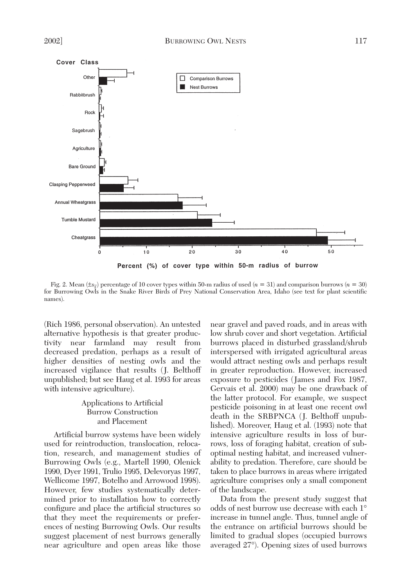

Fig. 2. Mean  $(\pm s_{\overline{x}})$  percentage of 10 cover types within 50-m radius of used (*n* = 31) and comparison burrows (*n* = 30) for Burrowing Owls in the Snake River Birds of Prey National Conservation Area, Idaho (see text for plant scientific names).

(Rich 1986, personal observation). An untested alternative hypothesis is that greater productivity near farmland may result from decreased predation, perhaps as a result of higher densities of nesting owls and the increased vigilance that results (J. Belthoff unpublished; but see Haug et al. 1993 for areas with intensive agriculture).

# Applications to Artificial Burrow Construction and Placement

Artificial burrow systems have been widely used for reintroduction, translocation, relocation, research, and management studies of Burrowing Owls (e.g., Martell 1990, Olenick 1990, Dyer 1991, Trulio 1995, Delevoryas 1997, Wellicome 1997, Botelho and Arrowood 1998). However, few studies systematically determined prior to installation how to correctly configure and place the artificial structures so that they meet the requirements or preferences of nesting Burrowing Owls. Our results suggest placement of nest burrows generally near agriculture and open areas like those

near gravel and paved roads, and in areas with low shrub cover and short vegetation. Artificial burrows placed in disturbed grassland/shrub interspersed with irrigated agricultural areas would attract nesting owls and perhaps result in greater reproduction. However, increased exposure to pesticides (James and Fox 1987, Gervais et al. 2000) may be one drawback of the latter protocol. For example, we suspect pesticide poisoning in at least one recent owl death in the SRBPNCA (J. Belthoff unpublished). Moreover, Haug et al. (1993) note that intensive agriculture results in loss of burrows, loss of foraging habitat, creation of suboptimal nesting habitat, and increased vulnerability to predation. Therefore, care should be taken to place burrows in areas where irrigated agriculture comprises only a small component of the landscape.

Data from the present study suggest that odds of nest burrow use decrease with each 1° increase in tunnel angle. Thus, tunnel angle of the entrance on artificial burrows should be limited to gradual slopes (occupied burrows averaged 27°). Opening sizes of used burrows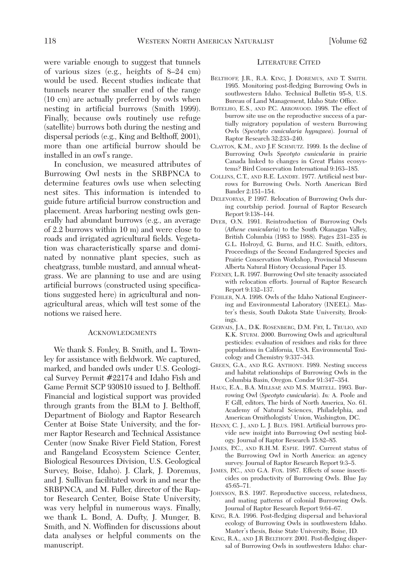were variable enough to suggest that tunnels of various sizes (e.g., heights of 8–24 cm) would be used. Recent studies indicate that tunnels nearer the smaller end of the range (10 cm) are actually preferred by owls when nesting in artificial burrows (Smith 1999). Finally, because owls routinely use refuge (satellite) burrows both during the nesting and dispersal periods (e.g., King and Belthoff, 2001), more than one artificial burrow should be installed in an owl's range.

In conclusion, we measured attributes of Burrowing Owl nests in the SRBPNCA to determine features owls use when selecting nest sites. This information is intended to guide future artificial burrow construction and placement. Areas harboring nesting owls generally had abundant burrows (e.g., an average of 2.2 burrows within 10 m) and were close to roads and irrigated agricultural fields. Vegetation was characteristically sparse and dominated by nonnative plant species, such as cheatgrass, tumble mustard, and annual wheatgrass. We are planning to use and are using artificial burrows (constructed using specifications suggested here) in agricultural and nonagricultural areas, which will test some of the notions we raised here.

#### **ACKNOWLEDGMENTS**

We thank S. Fonley, B. Smith, and L. Townley for assistance with fieldwork. We captured, marked, and banded owls under U.S. Geological Survey Permit #22174 and Idaho Fish and Game Permit SCP 930810 issued to J. Belthoff. Financial and logistical support was provided through grants from the BLM to J. Belthoff, Department of Biology and Raptor Research Center at Boise State University, and the former Raptor Research and Technical Assistance Center (now Snake River Field Station, Forest and Rangeland Ecosystem Science Center, Biological Resources Division, U.S. Geological Survey, Boise, Idaho). J. Clark, J. Doremus, and J. Sullivan facilitated work in and near the SRBPNCA, and M. Fuller, director of the Raptor Research Center, Boise State University, was very helpful in numerous ways. Finally, we thank L. Bond, A. Dufty, J. Munger, B. Smith, and N. Woffinden for discussions about data analyses or helpful comments on the manuscript.

#### LITERATURE CITED

- BELTHOFF, J.R., R.A. KING, J. DOREMUS, AND T. SMITH. 1995. Monitoring post-fledging Burrowing Owls in southwestern Idaho. Technical Bulletin 95-8, U.S. Bureau of Land Management, Idaho State Office.
- BOTELHO, E.S., AND P.C. ARROWOOD. 1998. The effect of burrow site use on the reproductive success of a partially migratory population of western Burrowing Owls (*Speotyto cunicularia hypugaea*). Journal of Raptor Research 32:233–240.
- CLAYTON, K.M., AND J.F. SCHMUTZ. 1999. Is the decline of Burrowing Owls *Speotyto cunicularia* in prairie Canada linked to changes in Great Plains ecosystems? Bird Conservation International 9:163–185.
- COLLINS, C.T., AND R.E. LANDRY. 1977. Artificial nest burrows for Burrowing Owls. North American Bird Bander 2:151–154.
- DELEVORYAS, P. 1997. Relocation of Burrowing Owls during courtship period. Journal of Raptor Research Report 9:138–144.
- DYER, O.N. 1991. Reintroduction of Burrowing Owls (*Athene cunicularia*) to the South Okanagan Valley, British Columbia (1983 to 1988). Pages 231–235 *in* G.L. Holroyd, G. Burns, and H.C. Smith, editors, Proceedings of the Second Endangered Species and Prairie Conservation Workshop, Provincial Museum Alberta Natural History Occasional Paper 15.
- FEENEY, L.R. 1997. Burrowing Owl site tenacity associated with relocation efforts. Journal of Raptor Research Report 9:132–137.
- FEHLER, N.A. 1998. Owls of the Idaho National Engineering and Environmental Laboratory (INEEL). Master's thesis, South Dakota State University, Brookings.
- GERVAIS, J.A., D.K. ROSENBERG, D.M. FRY, L. TRULIO, AND K.K. STURM. 2000. Burrowing Owls and agricultural pesticides: evaluation of residues and risks for three populations in California, USA. Environmental Toxicology and Chemistry 9:337–343.
- GREEN, G.A., AND R.G. ANTHONY. 1989. Nesting success and habitat relationships of Burrowing Owls in the Columbia Basin, Oregon. Condor 91:347–354.
- HAUG, E.A., B.A. MILLSAP, AND M.S. MARTELL. 1993. Burrowing Owl (*Speotyto cunicularia*). *In:* A. Poole and F. Gill, editors, The birds of North America, No. 61. Academy of Natural Sciences, Philadelphia, and American Ornithologists' Union, Washington, DC.
- HENNY, C. J., AND L. J. BLUS. 1981. Artificial burrows provide new insight into Burrowing Owl nesting biology. Journal of Raptor Research 15:82–85.
- JAMES, P.C., AND R.H.M. ESPIE. 1997. Current status of the Burrowing Owl in North America: an agency survey. Journal of Raptor Research Report 9:3–5.
- JAMES, P.C., AND G.A. FOX. 1987. Effects of some insecticides on productivity of Burrowing Owls. Blue Jay 45:65–71.
- JOHNSON, B.S. 1997. Reproductive success, relatedness, and mating patterns of colonial Burrowing Owls. Journal of Raptor Research Report 9:64–67.
- KING, R.A. 1996. Post-fledging dispersal and behavioral ecology of Burrowing Owls in southwestern Idaho. Master's thesis, Boise State University, Boise, ID.
- KING, R.A., AND J.R BELTHOFF. 2001. Post-fledging dispersal of Burrowing Owls in southwestern Idaho: char-